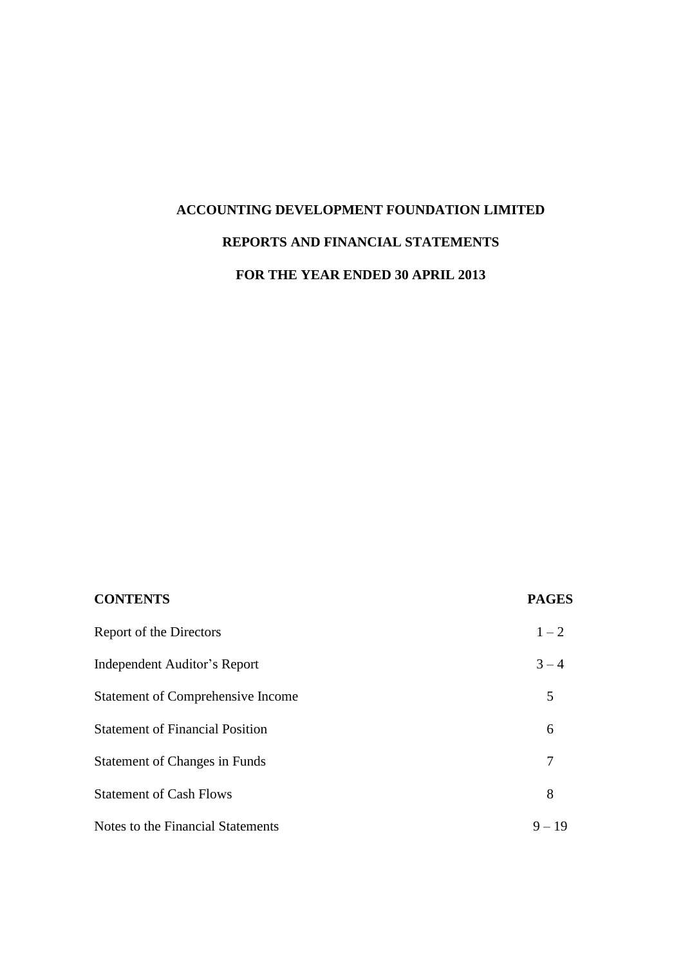# **ACCOUNTING DEVELOPMENT FOUNDATION LIMITED REPORTS AND FINANCIAL STATEMENTS**

## **FOR THE YEAR ENDED 30 APRIL 2013**

| <b>CONTENTS</b>                          | <b>PAGES</b> |
|------------------------------------------|--------------|
| Report of the Directors                  | $1 - 2$      |
| <b>Independent Auditor's Report</b>      | $3 - 4$      |
| <b>Statement of Comprehensive Income</b> | 5            |
| <b>Statement of Financial Position</b>   | 6            |
| <b>Statement of Changes in Funds</b>     | 7            |
| <b>Statement of Cash Flows</b>           | 8            |
| Notes to the Financial Statements        | $9 - 19$     |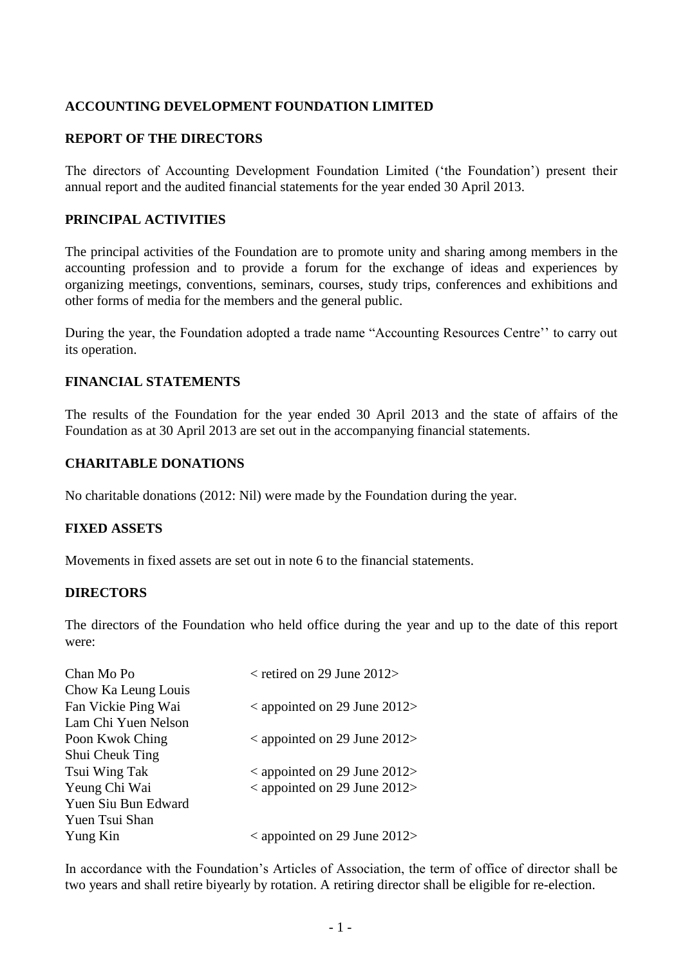#### **REPORT OF THE DIRECTORS**

The directors of Accounting Development Foundation Limited ('the Foundation') present their annual report and the audited financial statements for the year ended 30 April 2013.

## **PRINCIPAL ACTIVITIES**

The principal activities of the Foundation are to promote unity and sharing among members in the accounting profession and to provide a forum for the exchange of ideas and experiences by organizing meetings, conventions, seminars, courses, study trips, conferences and exhibitions and other forms of media for the members and the general public.

During the year, the Foundation adopted a trade name "Accounting Resources Centre'' to carry out its operation.

#### **FINANCIAL STATEMENTS**

The results of the Foundation for the year ended 30 April 2013 and the state of affairs of the Foundation as at 30 April 2013 are set out in the accompanying financial statements.

#### **CHARITABLE DONATIONS**

No charitable donations (2012: Nil) were made by the Foundation during the year.

#### **FIXED ASSETS**

Movements in fixed assets are set out in note 6 to the financial statements.

#### **DIRECTORS**

The directors of the Foundation who held office during the year and up to the date of this report were:

| Chan Mo Po          | $\epsilon$ retired on 29 June 2012>   |
|---------------------|---------------------------------------|
| Chow Ka Leung Louis |                                       |
| Fan Vickie Ping Wai | $\alpha$ < appointed on 29 June 2012> |
| Lam Chi Yuen Nelson |                                       |
| Poon Kwok Ching     | $\alpha$ < appointed on 29 June 2012> |
| Shui Cheuk Ting     |                                       |
| Tsui Wing Tak       | $\alpha$ < appointed on 29 June 2012> |
| Yeung Chi Wai       | $\alpha$ < appointed on 29 June 2012> |
| Yuen Siu Bun Edward |                                       |
| Yuen Tsui Shan      |                                       |
| Yung Kin            | $\alpha$ < appointed on 29 June 2012> |
|                     |                                       |

In accordance with the Foundation's Articles of Association, the term of office of director shall be two years and shall retire biyearly by rotation. A retiring director shall be eligible for re-election.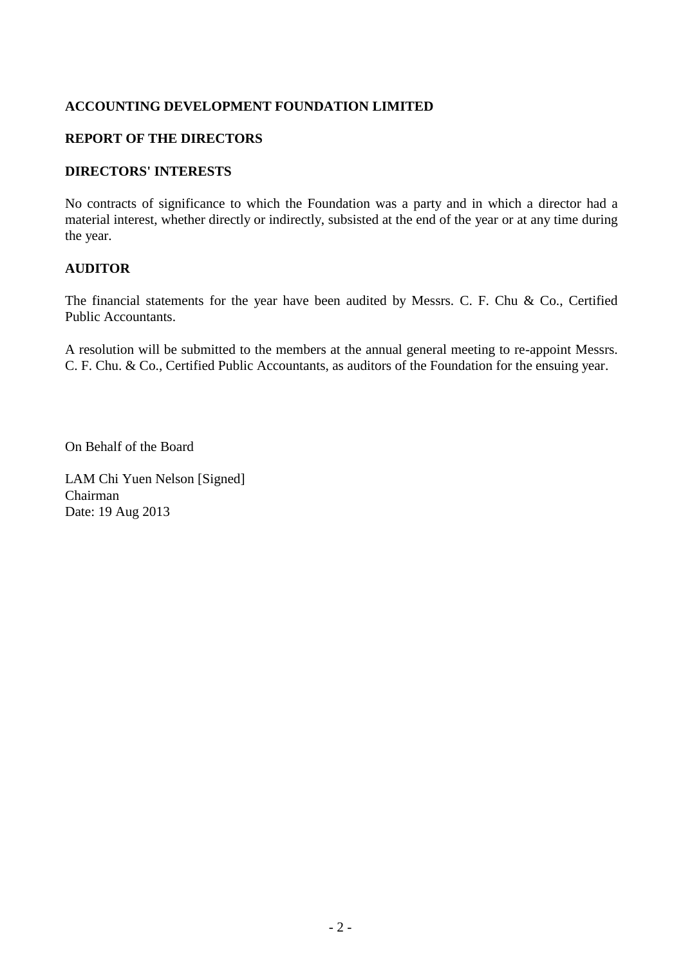#### **REPORT OF THE DIRECTORS**

#### **DIRECTORS' INTERESTS**

No contracts of significance to which the Foundation was a party and in which a director had a material interest, whether directly or indirectly, subsisted at the end of the year or at any time during the year.

#### **AUDITOR**

The financial statements for the year have been audited by Messrs. C. F. Chu & Co., Certified Public Accountants.

A resolution will be submitted to the members at the annual general meeting to re-appoint Messrs. C. F. Chu. & Co., Certified Public Accountants, as auditors of the Foundation for the ensuing year.

On Behalf of the Board

LAM Chi Yuen Nelson [Signed] Chairman Date: 19 Aug 2013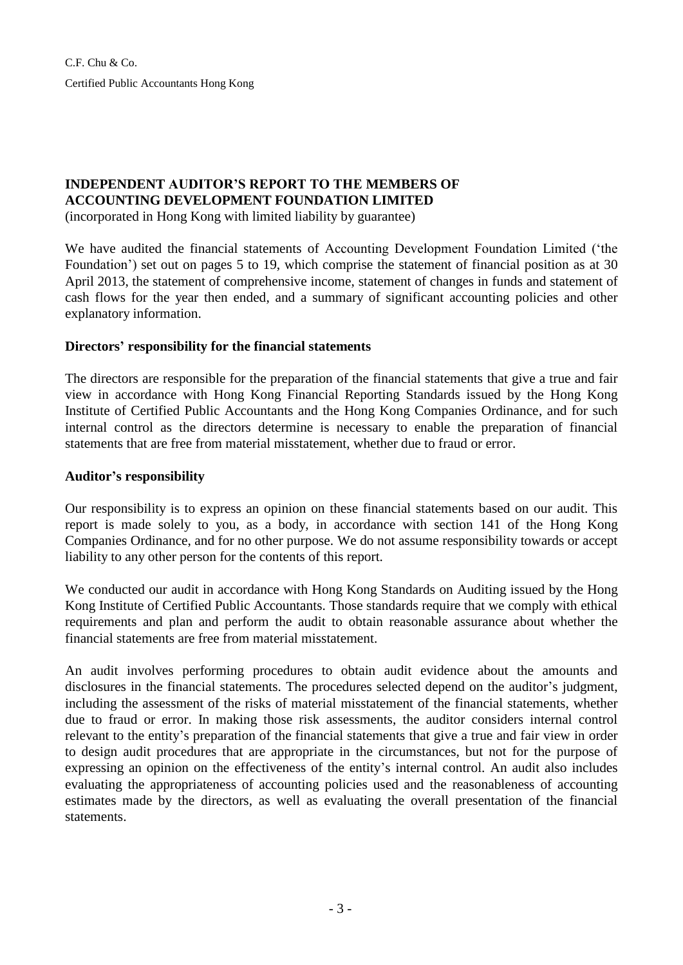C.F. Chu & Co. Certified Public Accountants Hong Kong

## **INDEPENDENT AUDITOR'S REPORT TO THE MEMBERS OF ACCOUNTING DEVELOPMENT FOUNDATION LIMITED**

(incorporated in Hong Kong with limited liability by guarantee)

We have audited the financial statements of Accounting Development Foundation Limited ('the Foundation') set out on pages 5 to 19, which comprise the statement of financial position as at 30 April 2013, the statement of comprehensive income, statement of changes in funds and statement of cash flows for the year then ended, and a summary of significant accounting policies and other explanatory information.

#### **Directors' responsibility for the financial statements**

The directors are responsible for the preparation of the financial statements that give a true and fair view in accordance with Hong Kong Financial Reporting Standards issued by the Hong Kong Institute of Certified Public Accountants and the Hong Kong Companies Ordinance, and for such internal control as the directors determine is necessary to enable the preparation of financial statements that are free from material misstatement, whether due to fraud or error.

#### **Auditor's responsibility**

Our responsibility is to express an opinion on these financial statements based on our audit. This report is made solely to you, as a body, in accordance with section 141 of the Hong Kong Companies Ordinance, and for no other purpose. We do not assume responsibility towards or accept liability to any other person for the contents of this report.

We conducted our audit in accordance with Hong Kong Standards on Auditing issued by the Hong Kong Institute of Certified Public Accountants. Those standards require that we comply with ethical requirements and plan and perform the audit to obtain reasonable assurance about whether the financial statements are free from material misstatement.

An audit involves performing procedures to obtain audit evidence about the amounts and disclosures in the financial statements. The procedures selected depend on the auditor's judgment, including the assessment of the risks of material misstatement of the financial statements, whether due to fraud or error. In making those risk assessments, the auditor considers internal control relevant to the entity's preparation of the financial statements that give a true and fair view in order to design audit procedures that are appropriate in the circumstances, but not for the purpose of expressing an opinion on the effectiveness of the entity's internal control. An audit also includes evaluating the appropriateness of accounting policies used and the reasonableness of accounting estimates made by the directors, as well as evaluating the overall presentation of the financial statements.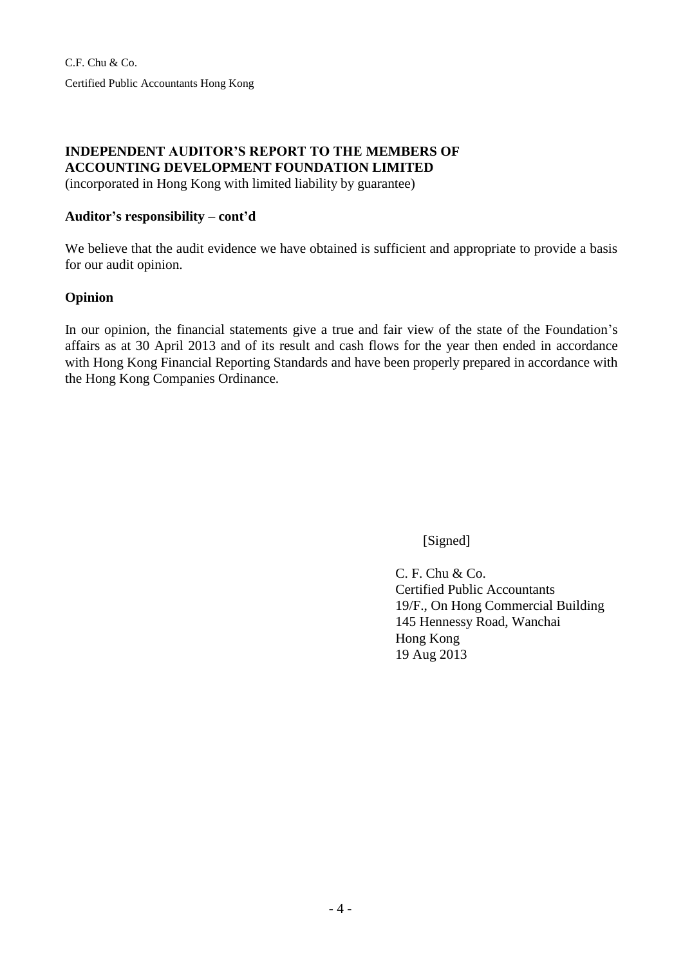C.F. Chu & Co. Certified Public Accountants Hong Kong

## **INDEPENDENT AUDITOR'S REPORT TO THE MEMBERS OF ACCOUNTING DEVELOPMENT FOUNDATION LIMITED**

(incorporated in Hong Kong with limited liability by guarantee)

## **Auditor's responsibility – cont'd**

We believe that the audit evidence we have obtained is sufficient and appropriate to provide a basis for our audit opinion.

#### **Opinion**

In our opinion, the financial statements give a true and fair view of the state of the Foundation's affairs as at 30 April 2013 and of its result and cash flows for the year then ended in accordance with Hong Kong Financial Reporting Standards and have been properly prepared in accordance with the Hong Kong Companies Ordinance.

[Signed]

 $C. F. Chu & Co.$ Certified Public Accountants 19/F., On Hong Commercial Building 145 Hennessy Road, Wanchai Hong Kong 19 Aug 2013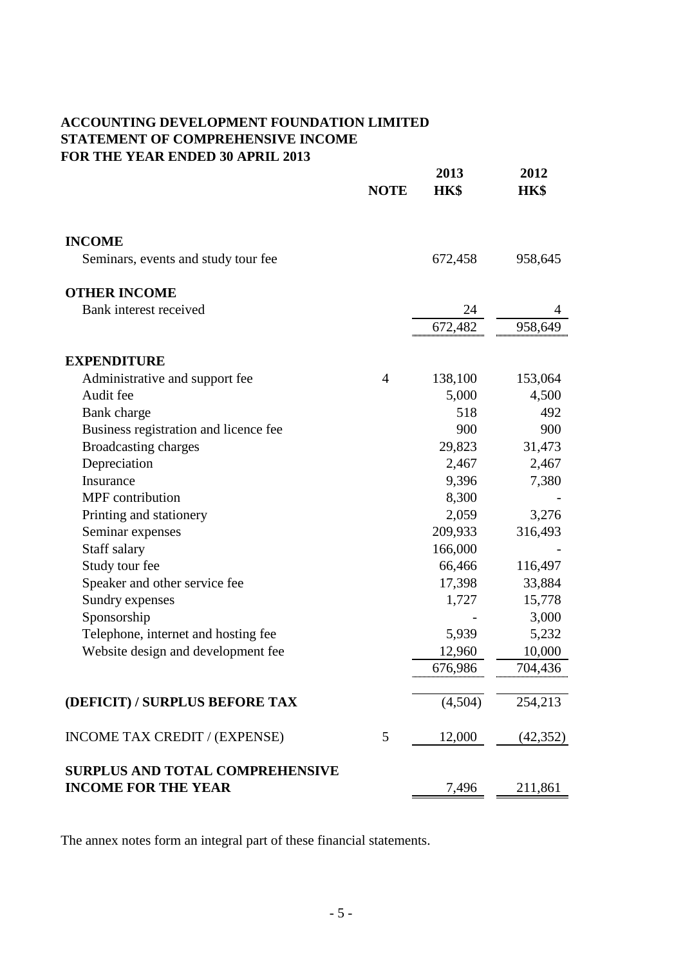## **ACCOUNTING DEVELOPMENT FOUNDATION LIMITED STATEMENT OF COMPREHENSIVE INCOME FOR THE YEAR ENDED 30 APRIL 2013**

|                                        | <b>NOTE</b> | HK\$    | HK\$      |
|----------------------------------------|-------------|---------|-----------|
| <b>INCOME</b>                          |             |         |           |
| Seminars, events and study tour fee    |             | 672,458 | 958,645   |
| <b>OTHER INCOME</b>                    |             |         |           |
| Bank interest received                 |             | 24      |           |
|                                        |             | 672,482 | 958,649   |
| <b>EXPENDITURE</b>                     |             |         |           |
| Administrative and support fee         | 4           | 138,100 | 153,064   |
| Audit fee                              |             | 5,000   | 4,500     |
| Bank charge                            |             | 518     | 492       |
| Business registration and licence fee  |             | 900     | 900       |
| Broadcasting charges                   |             | 29,823  | 31,473    |
| Depreciation                           |             | 2,467   | 2,467     |
| Insurance                              |             | 9,396   | 7,380     |
| <b>MPF</b> contribution                |             | 8,300   |           |
| Printing and stationery                |             | 2,059   | 3,276     |
| Seminar expenses                       |             | 209,933 | 316,493   |
| Staff salary                           |             | 166,000 |           |
| Study tour fee                         |             | 66,466  | 116,497   |
| Speaker and other service fee          |             | 17,398  | 33,884    |
| Sundry expenses                        |             | 1,727   | 15,778    |
| Sponsorship                            |             |         | 3,000     |
| Telephone, internet and hosting fee    |             | 5,939   | 5,232     |
| Website design and development fee     |             | 12,960  | 10,000    |
|                                        |             | 676,986 | 704,436   |
| (DEFICIT) / SURPLUS BEFORE TAX         |             | (4,504) | 254,213   |
| INCOME TAX CREDIT / (EXPENSE)          | 5           | 12,000  | (42, 352) |
| <b>SURPLUS AND TOTAL COMPREHENSIVE</b> |             |         |           |
| <b>INCOME FOR THE YEAR</b>             |             | 7,496   | 211,861   |

 **2013**

 **2012**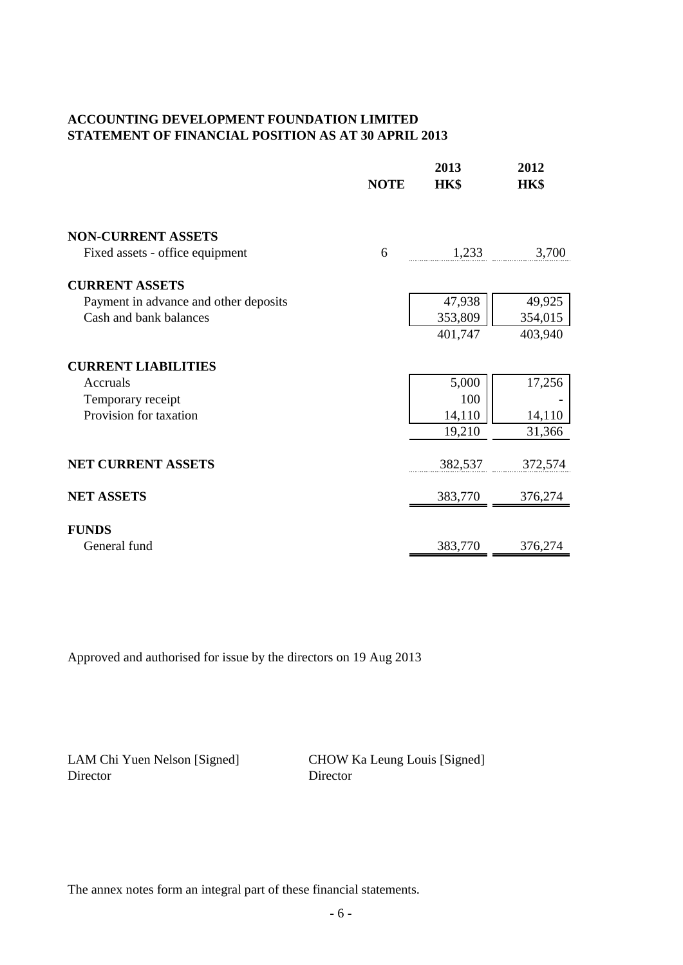#### **ACCOUNTING DEVELOPMENT FOUNDATION LIMITED STATEMENT OF FINANCIAL POSITION AS AT 30 APRIL 2013**

|                                       | <b>NOTE</b> | 2013<br>HK\$ | 2012<br>HK\$ |
|---------------------------------------|-------------|--------------|--------------|
| <b>NON-CURRENT ASSETS</b>             |             |              |              |
| Fixed assets - office equipment       | 6           | 1,233        | 3,700        |
| <b>CURRENT ASSETS</b>                 |             |              |              |
| Payment in advance and other deposits |             | 47,938       | 49,925       |
| Cash and bank balances                |             | 353,809      | 354,015      |
|                                       |             | 401,747      | 403,940      |
| <b>CURRENT LIABILITIES</b>            |             |              |              |
| Accruals                              |             | 5,000        | 17,256       |
| Temporary receipt                     |             | 100          |              |
| Provision for taxation                |             | 14,110       | 14,110       |
|                                       |             | 19,210       | 31,366       |
| NET CURRENT ASSETS                    |             | 382,537      | 372,574      |
|                                       |             |              |              |
| <b>NET ASSETS</b>                     |             | 383,770      | 376,274      |
| <b>FUNDS</b>                          |             |              |              |
| General fund                          |             | 383,770      | 376,274      |
|                                       |             |              |              |

Approved and authorised for issue by the directors on 19 Aug 2013

LAM Chi Yuen Nelson [Signed] CHOW Ka Leung Louis [Signed] Director Director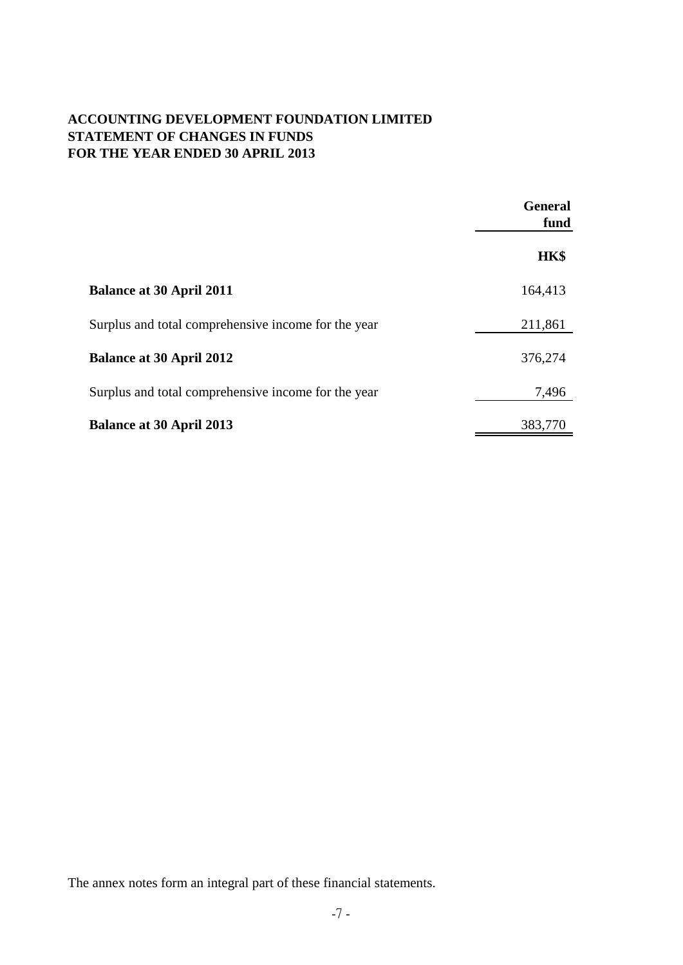## **ACCOUNTING DEVELOPMENT FOUNDATION LIMITED STATEMENT OF CHANGES IN FUNDS FOR THE YEAR ENDED 30 APRIL 2013**

|                                                     | <b>General</b><br>fund |
|-----------------------------------------------------|------------------------|
|                                                     | HK\$                   |
| <b>Balance at 30 April 2011</b>                     | 164,413                |
| Surplus and total comprehensive income for the year | 211,861                |
| <b>Balance at 30 April 2012</b>                     | 376,274                |
| Surplus and total comprehensive income for the year | 7,496                  |
| <b>Balance at 30 April 2013</b>                     | 383,770                |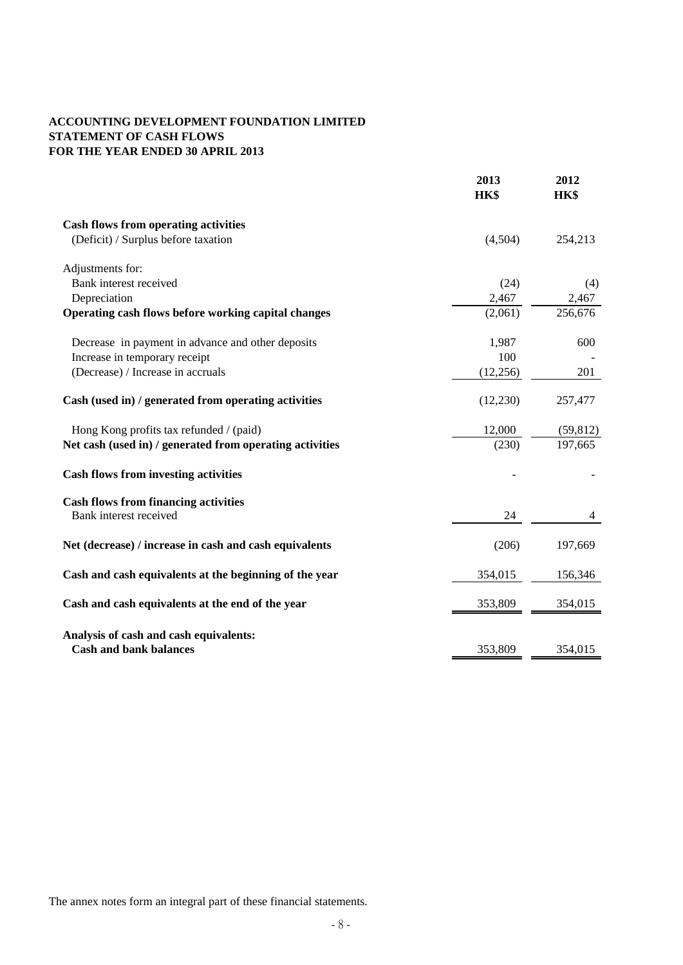#### **ACCOUNTING DEVELOPMENT FOUNDATION LIMITED STATEMENT OF CASH FLOWS FOR THE YEAR ENDED 30 APRIL 2013**

|                                                          | 2013<br>HK\$ | 2012<br>HK\$ |
|----------------------------------------------------------|--------------|--------------|
| <b>Cash flows from operating activities</b>              |              |              |
| (Deficit) / Surplus before taxation                      | (4,504)      | 254,213      |
| Adjustments for:                                         |              |              |
| Bank interest received                                   | (24)         | (4)          |
| Depreciation                                             | 2,467        | 2,467        |
| Operating cash flows before working capital changes      | (2,061)      | 256,676      |
| Decrease in payment in advance and other deposits        | 1,987        | 600          |
| Increase in temporary receipt                            | 100          |              |
| (Decrease) / Increase in accruals                        | (12, 256)    | 201          |
| Cash (used in) / generated from operating activities     | (12,230)     | 257,477      |
| Hong Kong profits tax refunded / (paid)                  | 12,000       | (59, 812)    |
| Net cash (used in) / generated from operating activities | (230)        | 197,665      |
| <b>Cash flows from investing activities</b>              |              |              |
| <b>Cash flows from financing activities</b>              |              |              |
| Bank interest received                                   | 24           | 4            |
| Net (decrease) / increase in cash and cash equivalents   | (206)        | 197,669      |
| Cash and cash equivalents at the beginning of the year   | 354,015      | 156,346      |
| Cash and cash equivalents at the end of the year         | 353,809      | 354,015      |
| Analysis of cash and cash equivalents:                   |              |              |
| <b>Cash and bank balances</b>                            | 353,809      | 354,015      |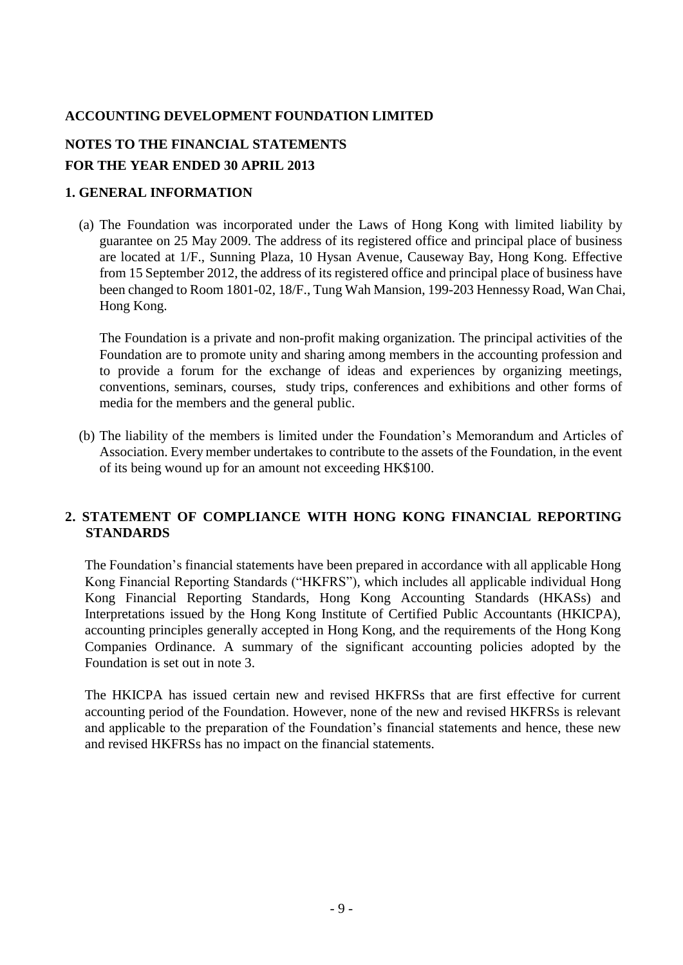## **NOTES TO THE FINANCIAL STATEMENTS FOR THE YEAR ENDED 30 APRIL 2013**

## **1. GENERAL INFORMATION**

(a) The Foundation was incorporated under the Laws of Hong Kong with limited liability by guarantee on 25 May 2009. The address of its registered office and principal place of business are located at 1/F., Sunning Plaza, 10 Hysan Avenue, Causeway Bay, Hong Kong. Effective from 15 September 2012, the address of its registered office and principal place of business have been changed to Room 1801-02, 18/F., Tung Wah Mansion, 199-203 Hennessy Road, Wan Chai, Hong Kong.

The Foundation is a private and non-profit making organization. The principal activities of the Foundation are to promote unity and sharing among members in the accounting profession and to provide a forum for the exchange of ideas and experiences by organizing meetings, conventions, seminars, courses, study trips, conferences and exhibitions and other forms of media for the members and the general public.

(b) The liability of the members is limited under the Foundation's Memorandum and Articles of Association. Every member undertakes to contribute to the assets of the Foundation, in the event of its being wound up for an amount not exceeding HK\$100.

## **2. STATEMENT OF COMPLIANCE WITH HONG KONG FINANCIAL REPORTING STANDARDS**

The Foundation's financial statements have been prepared in accordance with all applicable Hong Kong Financial Reporting Standards ("HKFRS"), which includes all applicable individual Hong Kong Financial Reporting Standards, Hong Kong Accounting Standards (HKASs) and Interpretations issued by the Hong Kong Institute of Certified Public Accountants (HKICPA), accounting principles generally accepted in Hong Kong, and the requirements of the Hong Kong Companies Ordinance. A summary of the significant accounting policies adopted by the Foundation is set out in note 3.

The HKICPA has issued certain new and revised HKFRSs that are first effective for current accounting period of the Foundation. However, none of the new and revised HKFRSs is relevant and applicable to the preparation of the Foundation's financial statements and hence, these new and revised HKFRSs has no impact on the financial statements.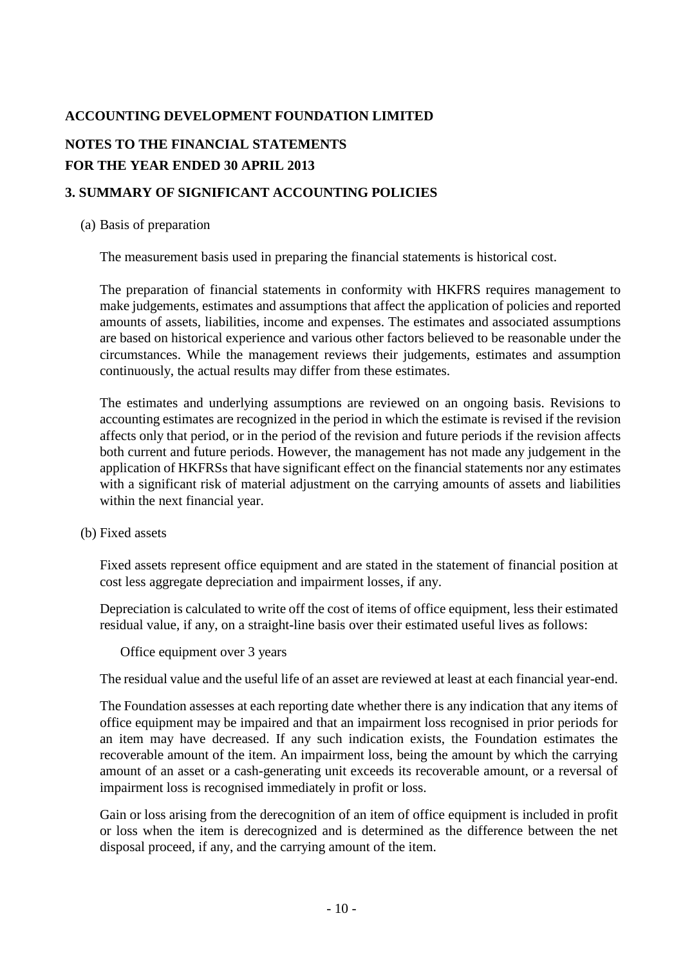# **NOTES TO THE FINANCIAL STATEMENTS FOR THE YEAR ENDED 30 APRIL 2013**

## **3. SUMMARY OF SIGNIFICANT ACCOUNTING POLICIES**

#### (a) Basis of preparation

The measurement basis used in preparing the financial statements is historical cost.

The preparation of financial statements in conformity with HKFRS requires management to make judgements, estimates and assumptions that affect the application of policies and reported amounts of assets, liabilities, income and expenses. The estimates and associated assumptions are based on historical experience and various other factors believed to be reasonable under the circumstances. While the management reviews their judgements, estimates and assumption continuously, the actual results may differ from these estimates.

The estimates and underlying assumptions are reviewed on an ongoing basis. Revisions to accounting estimates are recognized in the period in which the estimate is revised if the revision affects only that period, or in the period of the revision and future periods if the revision affects both current and future periods. However, the management has not made any judgement in the application of HKFRSs that have significant effect on the financial statements nor any estimates with a significant risk of material adjustment on the carrying amounts of assets and liabilities within the next financial year.

#### (b) Fixed assets

Fixed assets represent office equipment and are stated in the statement of financial position at cost less aggregate depreciation and impairment losses, if any.

Depreciation is calculated to write off the cost of items of office equipment, less their estimated residual value, if any, on a straight-line basis over their estimated useful lives as follows:

Office equipment over 3 years

The residual value and the useful life of an asset are reviewed at least at each financial year-end.

The Foundation assesses at each reporting date whether there is any indication that any items of office equipment may be impaired and that an impairment loss recognised in prior periods for an item may have decreased. If any such indication exists, the Foundation estimates the recoverable amount of the item. An impairment loss, being the amount by which the carrying amount of an asset or a cash-generating unit exceeds its recoverable amount, or a reversal of impairment loss is recognised immediately in profit or loss.

Gain or loss arising from the derecognition of an item of office equipment is included in profit or loss when the item is derecognized and is determined as the difference between the net disposal proceed, if any, and the carrying amount of the item.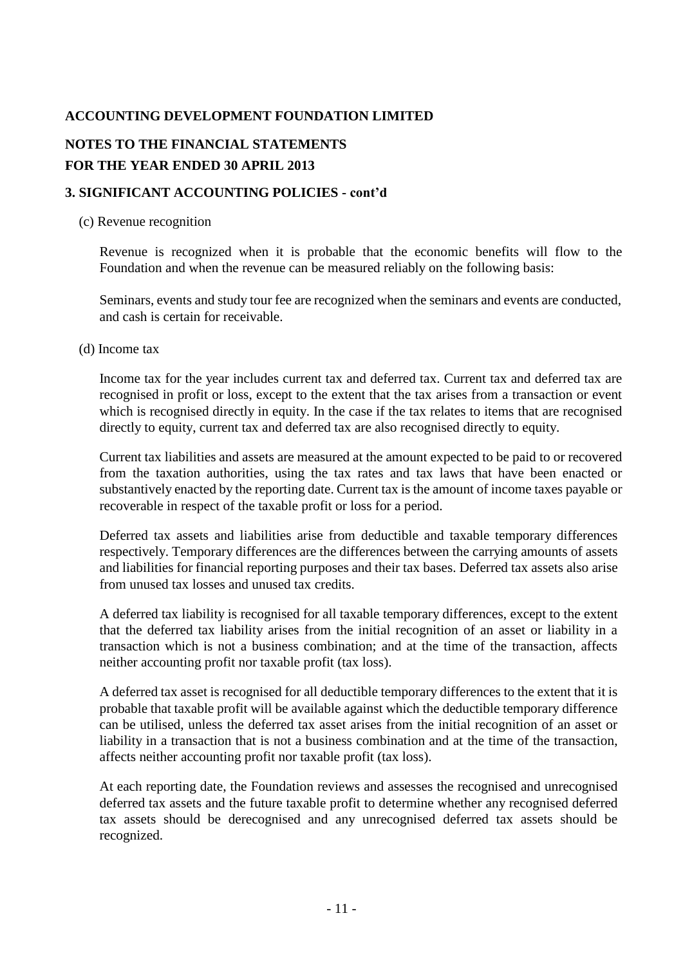# **NOTES TO THE FINANCIAL STATEMENTS FOR THE YEAR ENDED 30 APRIL 2013**

## **3. SIGNIFICANT ACCOUNTING POLICIES - cont'd**

#### (c) Revenue recognition

Revenue is recognized when it is probable that the economic benefits will flow to the Foundation and when the revenue can be measured reliably on the following basis:

Seminars, events and study tour fee are recognized when the seminars and events are conducted, and cash is certain for receivable.

#### (d) Income tax

Income tax for the year includes current tax and deferred tax. Current tax and deferred tax are recognised in profit or loss, except to the extent that the tax arises from a transaction or event which is recognised directly in equity. In the case if the tax relates to items that are recognised directly to equity, current tax and deferred tax are also recognised directly to equity.

Current tax liabilities and assets are measured at the amount expected to be paid to or recovered from the taxation authorities, using the tax rates and tax laws that have been enacted or substantively enacted by the reporting date. Current tax is the amount of income taxes payable or recoverable in respect of the taxable profit or loss for a period.

Deferred tax assets and liabilities arise from deductible and taxable temporary differences respectively. Temporary differences are the differences between the carrying amounts of assets and liabilities for financial reporting purposes and their tax bases. Deferred tax assets also arise from unused tax losses and unused tax credits.

A deferred tax liability is recognised for all taxable temporary differences, except to the extent that the deferred tax liability arises from the initial recognition of an asset or liability in a transaction which is not a business combination; and at the time of the transaction, affects neither accounting profit nor taxable profit (tax loss).

A deferred tax asset is recognised for all deductible temporary differences to the extent that it is probable that taxable profit will be available against which the deductible temporary difference can be utilised, unless the deferred tax asset arises from the initial recognition of an asset or liability in a transaction that is not a business combination and at the time of the transaction, affects neither accounting profit nor taxable profit (tax loss).

At each reporting date, the Foundation reviews and assesses the recognised and unrecognised deferred tax assets and the future taxable profit to determine whether any recognised deferred tax assets should be derecognised and any unrecognised deferred tax assets should be recognized.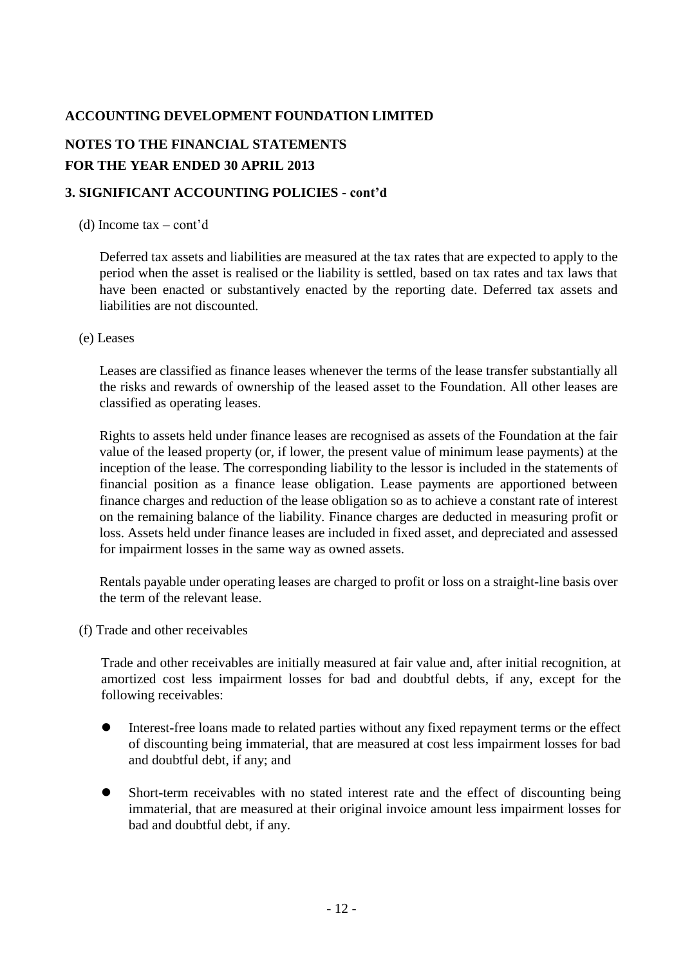# **NOTES TO THE FINANCIAL STATEMENTS FOR THE YEAR ENDED 30 APRIL 2013**

## **3. SIGNIFICANT ACCOUNTING POLICIES - cont'd**

#### (d) Income tax – cont'd

Deferred tax assets and liabilities are measured at the tax rates that are expected to apply to the period when the asset is realised or the liability is settled, based on tax rates and tax laws that have been enacted or substantively enacted by the reporting date. Deferred tax assets and liabilities are not discounted.

#### (e) Leases

Leases are classified as finance leases whenever the terms of the lease transfer substantially all the risks and rewards of ownership of the leased asset to the Foundation. All other leases are classified as operating leases.

Rights to assets held under finance leases are recognised as assets of the Foundation at the fair value of the leased property (or, if lower, the present value of minimum lease payments) at the inception of the lease. The corresponding liability to the lessor is included in the statements of financial position as a finance lease obligation. Lease payments are apportioned between finance charges and reduction of the lease obligation so as to achieve a constant rate of interest on the remaining balance of the liability. Finance charges are deducted in measuring profit or loss. Assets held under finance leases are included in fixed asset, and depreciated and assessed for impairment losses in the same way as owned assets.

Rentals payable under operating leases are charged to profit or loss on a straight-line basis over the term of the relevant lease.

(f) Trade and other receivables

Trade and other receivables are initially measured at fair value and, after initial recognition, at amortized cost less impairment losses for bad and doubtful debts, if any, except for the following receivables:

- Interest-free loans made to related parties without any fixed repayment terms or the effect of discounting being immaterial, that are measured at cost less impairment losses for bad and doubtful debt, if any; and
- Short-term receivables with no stated interest rate and the effect of discounting being immaterial, that are measured at their original invoice amount less impairment losses for bad and doubtful debt, if any.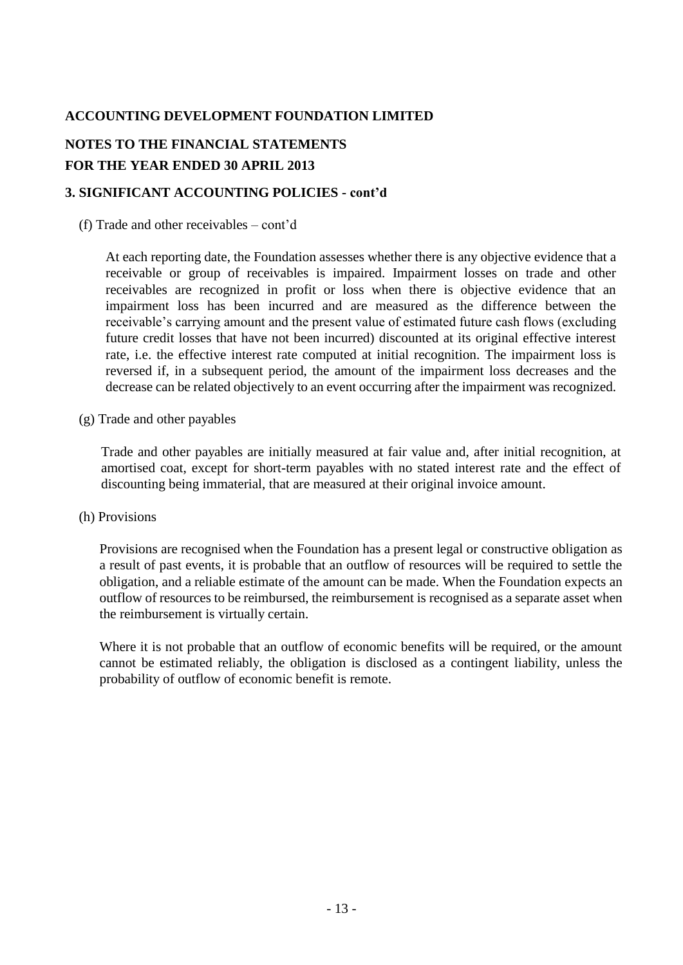## **NOTES TO THE FINANCIAL STATEMENTS FOR THE YEAR ENDED 30 APRIL 2013**

## **3. SIGNIFICANT ACCOUNTING POLICIES - cont'd**

#### (f) Trade and other receivables – cont'd

At each reporting date, the Foundation assesses whether there is any objective evidence that a receivable or group of receivables is impaired. Impairment losses on trade and other receivables are recognized in profit or loss when there is objective evidence that an impairment loss has been incurred and are measured as the difference between the receivable's carrying amount and the present value of estimated future cash flows (excluding future credit losses that have not been incurred) discounted at its original effective interest rate, i.e. the effective interest rate computed at initial recognition. The impairment loss is reversed if, in a subsequent period, the amount of the impairment loss decreases and the decrease can be related objectively to an event occurring after the impairment was recognized.

(g) Trade and other payables

Trade and other payables are initially measured at fair value and, after initial recognition, at amortised coat, except for short-term payables with no stated interest rate and the effect of discounting being immaterial, that are measured at their original invoice amount.

#### (h) Provisions

Provisions are recognised when the Foundation has a present legal or constructive obligation as a result of past events, it is probable that an outflow of resources will be required to settle the obligation, and a reliable estimate of the amount can be made. When the Foundation expects an outflow of resources to be reimbursed, the reimbursement is recognised as a separate asset when the reimbursement is virtually certain.

Where it is not probable that an outflow of economic benefits will be required, or the amount cannot be estimated reliably, the obligation is disclosed as a contingent liability, unless the probability of outflow of economic benefit is remote.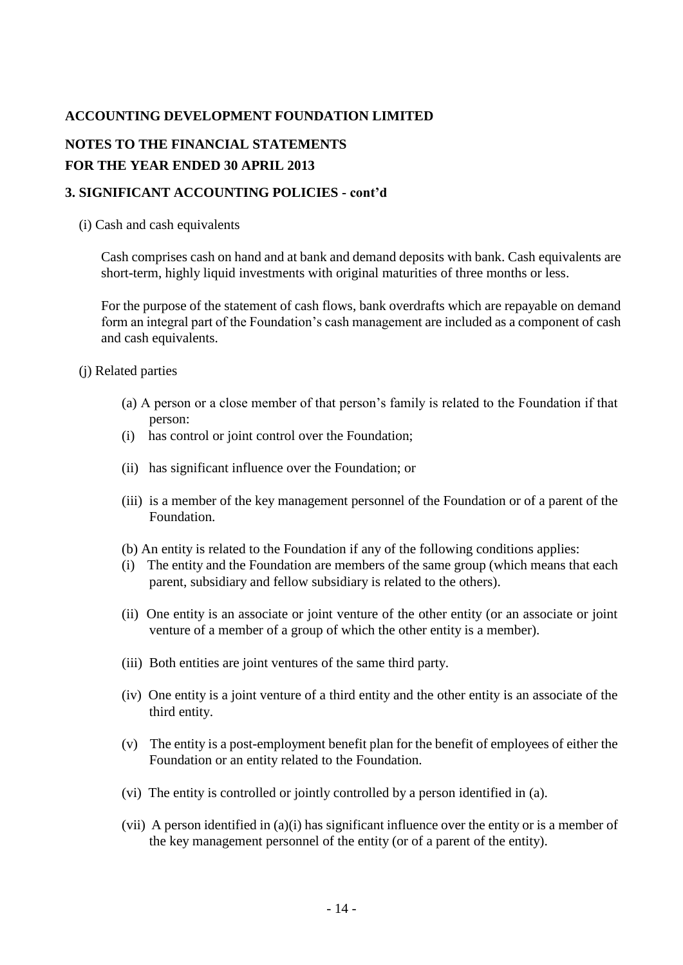# **NOTES TO THE FINANCIAL STATEMENTS FOR THE YEAR ENDED 30 APRIL 2013**

## **3. SIGNIFICANT ACCOUNTING POLICIES - cont'd**

#### (i) Cash and cash equivalents

Cash comprises cash on hand and at bank and demand deposits with bank. Cash equivalents are short-term, highly liquid investments with original maturities of three months or less.

For the purpose of the statement of cash flows, bank overdrafts which are repayable on demand form an integral part of the Foundation's cash management are included as a component of cash and cash equivalents.

- (j) Related parties
	- (a) A person or a close member of that person's family is related to the Foundation if that person:
	- (i) has control or joint control over the Foundation;
	- (ii) has significant influence over the Foundation; or
	- (iii) is a member of the key management personnel of the Foundation or of a parent of the Foundation.
	- (b) An entity is related to the Foundation if any of the following conditions applies:
	- (i) The entity and the Foundation are members of the same group (which means that each parent, subsidiary and fellow subsidiary is related to the others).
	- (ii) One entity is an associate or joint venture of the other entity (or an associate or joint venture of a member of a group of which the other entity is a member).
	- (iii) Both entities are joint ventures of the same third party.
	- (iv) One entity is a joint venture of a third entity and the other entity is an associate of the third entity.
	- (v) The entity is a post-employment benefit plan for the benefit of employees of either the Foundation or an entity related to the Foundation.
	- (vi) The entity is controlled or jointly controlled by a person identified in (a).
	- (vii) A person identified in (a)(i) has significant influence over the entity or is a member of the key management personnel of the entity (or of a parent of the entity).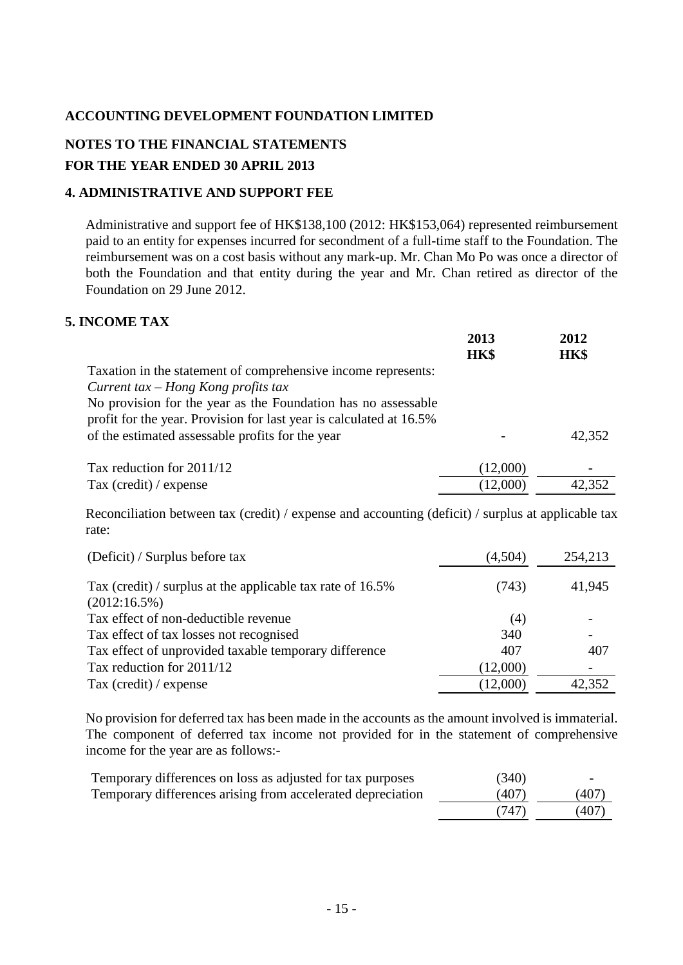# **NOTES TO THE FINANCIAL STATEMENTS FOR THE YEAR ENDED 30 APRIL 2013**

#### **4. ADMINISTRATIVE AND SUPPORT FEE**

Administrative and support fee of HK\$138,100 (2012: HK\$153,064) represented reimbursement paid to an entity for expenses incurred for secondment of a full-time staff to the Foundation. The reimbursement was on a cost basis without any mark-up. Mr. Chan Mo Po was once a director of both the Foundation and that entity during the year and Mr. Chan retired as director of the Foundation on 29 June 2012.

## **5. INCOME TAX**

|                                                                     | 2013<br>HK\$ | 2012<br><b>HK\$</b> |
|---------------------------------------------------------------------|--------------|---------------------|
| Taxation in the statement of comprehensive income represents:       |              |                     |
| Current tax $-$ Hong Kong profits tax                               |              |                     |
| No provision for the year as the Foundation has no assessable       |              |                     |
| profit for the year. Provision for last year is calculated at 16.5% |              |                     |
| of the estimated assessable profits for the year                    |              | 42,352              |
| Tax reduction for $2011/12$                                         | (12,000)     |                     |
| Tax (credit) / expense                                              | (12,000)     | 42.352              |

Reconciliation between tax (credit) / expense and accounting (deficit) / surplus at applicable tax rate:

| (Deficit) / Surplus before tax                                                | (4,504)  | 254,213 |
|-------------------------------------------------------------------------------|----------|---------|
| Tax (credit) / surplus at the applicable tax rate of 16.5%<br>$(2012:16.5\%)$ | (743)    | 41,945  |
| Tax effect of non-deductible revenue                                          | (4)      |         |
| Tax effect of tax losses not recognised                                       | 340      |         |
| Tax effect of unprovided taxable temporary difference                         | 407      | 407     |
| Tax reduction for 2011/12                                                     | (12,000) |         |
| Tax (credit) / expense                                                        | (12,000) | 42,352  |

No provision for deferred tax has been made in the accounts as the amount involved is immaterial. The component of deferred tax income not provided for in the statement of comprehensive income for the year are as follows:-

| Temporary differences on loss as adjusted for tax purposes  | (340) | $\overline{\phantom{0}}$ |
|-------------------------------------------------------------|-------|--------------------------|
| Temporary differences arising from accelerated depreciation | (407) | (407)                    |
|                                                             | (747) | (407)                    |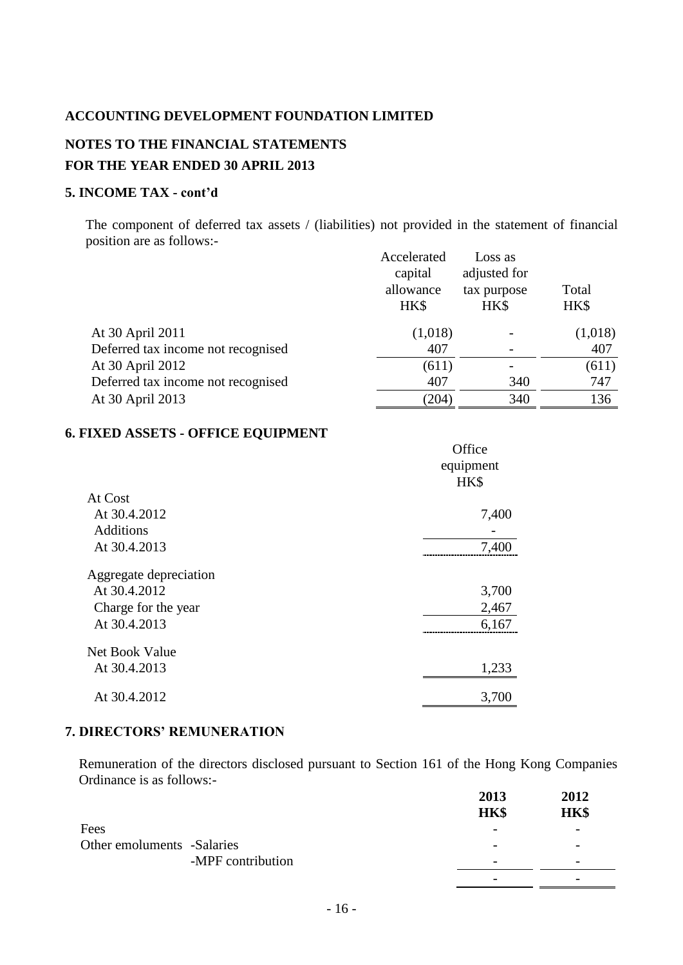## **NOTES TO THE FINANCIAL STATEMENTS FOR THE YEAR ENDED 30 APRIL 2013**

#### **5. INCOME TAX - cont'd**

The component of deferred tax assets / (liabilities) not provided in the statement of financial position are as follows:- Accelerated I

|                                    | Accelerated<br>capital<br>allowance<br>HK\$ | Loss as<br>adjusted for<br>tax purpose<br>HK\$ | Total<br>HK\$ |
|------------------------------------|---------------------------------------------|------------------------------------------------|---------------|
| At 30 April 2011                   | (1,018)                                     |                                                | (1,018)       |
| Deferred tax income not recognised | 407                                         |                                                | 407           |
| At 30 April 2012                   | (611)                                       |                                                | (611)         |
| Deferred tax income not recognised | 407                                         | 340                                            | 747           |
| At 30 April 2013                   | (204)                                       | 340                                            | 136           |

## **6. FIXED ASSETS - OFFICE EQUIPMENT**

|                        | Office<br>equipment<br>HK\$ |
|------------------------|-----------------------------|
| At Cost                |                             |
| At 30.4.2012           | 7,400                       |
| <b>Additions</b>       |                             |
| At 30.4.2013           | 7,400                       |
| Aggregate depreciation |                             |
| At 30.4.2012           | 3,700                       |
| Charge for the year    | 2,467                       |
| At 30.4.2013           | 6,167                       |
| Net Book Value         |                             |
| At 30.4.2013           | 1,233                       |
| At 30.4.2012           | 3,700                       |

#### **7. DIRECTORS' REMUNERATION**

Remuneration of the directors disclosed pursuant to Section 161 of the Hong Kong Companies Ordinance is as follows:-

|                            |                   | 2013 | 2012 |
|----------------------------|-------------------|------|------|
|                            |                   | HK\$ | HK\$ |
| Fees                       |                   |      |      |
| Other emoluments -Salaries |                   |      | -    |
|                            | -MPF contribution |      | -    |
|                            |                   |      | -    |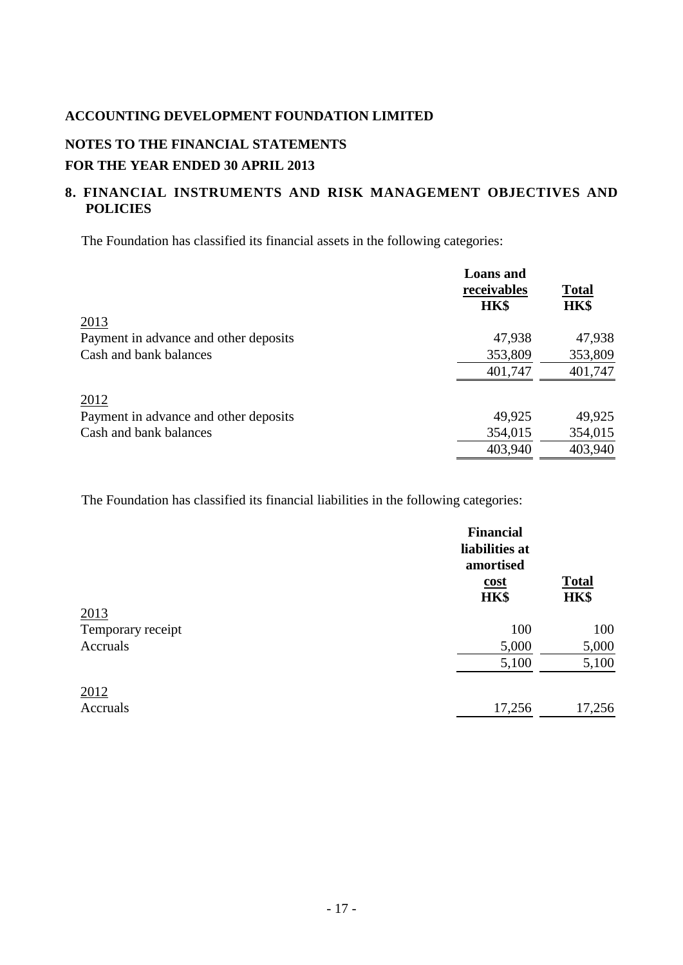# **NOTES TO THE FINANCIAL STATEMENTS**

# **FOR THE YEAR ENDED 30 APRIL 2013**

## **8. FINANCIAL INSTRUMENTS AND RISK MANAGEMENT OBJECTIVES AND POLICIES**

The Foundation has classified its financial assets in the following categories:

|                                       | <b>Loans</b> and<br>receivables<br>HK\$ | <b>Total</b><br>HK\$ |
|---------------------------------------|-----------------------------------------|----------------------|
| 2013                                  |                                         |                      |
| Payment in advance and other deposits | 47,938                                  | 47,938               |
| Cash and bank balances                | 353,809                                 | 353,809              |
|                                       | 401,747                                 | 401,747              |
| 2012                                  |                                         |                      |
| Payment in advance and other deposits | 49,925                                  | 49,925               |
| Cash and bank balances                | 354,015                                 | 354,015              |
|                                       | 403,940                                 | 403,940              |

The Foundation has classified its financial liabilities in the following categories:

|                   | <b>Financial</b><br>liabilities at<br>amortised<br><u>cost</u><br>HK\$ | <b>Total</b><br>HK\$ |
|-------------------|------------------------------------------------------------------------|----------------------|
| 2013              |                                                                        |                      |
| Temporary receipt | 100                                                                    | 100                  |
| Accruals          | 5,000                                                                  | 5,000                |
|                   | 5,100                                                                  | 5,100                |
| 2012              |                                                                        |                      |
| Accruals          | 17,256                                                                 | 17,256               |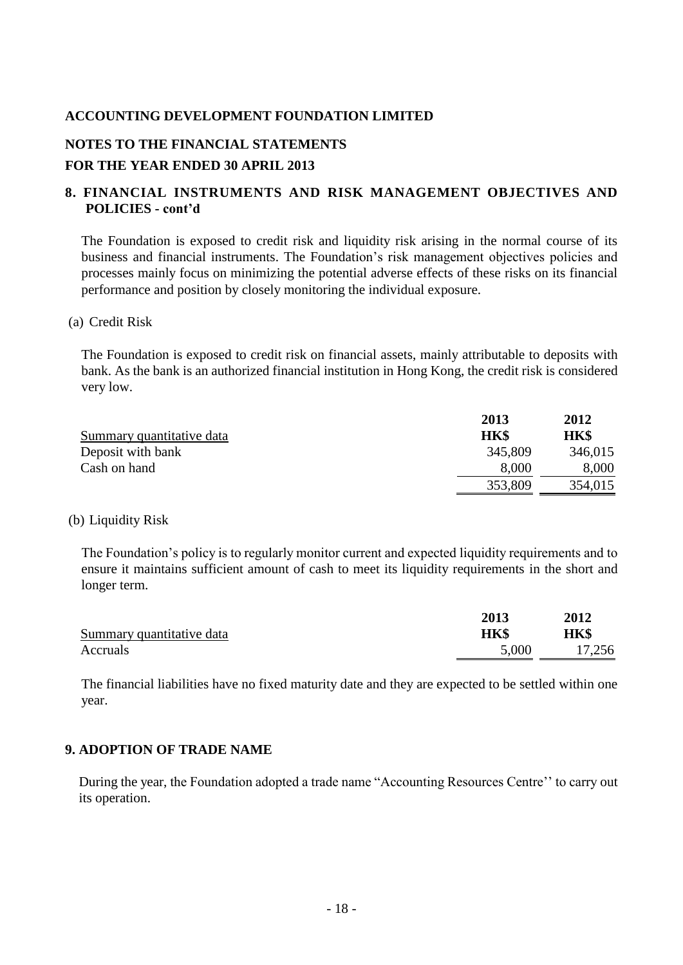# **NOTES TO THE FINANCIAL STATEMENTS**

## **FOR THE YEAR ENDED 30 APRIL 2013**

## **8. FINANCIAL INSTRUMENTS AND RISK MANAGEMENT OBJECTIVES AND POLICIES - cont'd**

The Foundation is exposed to credit risk and liquidity risk arising in the normal course of its business and financial instruments. The Foundation's risk management objectives policies and processes mainly focus on minimizing the potential adverse effects of these risks on its financial performance and position by closely monitoring the individual exposure.

#### (a) Credit Risk

The Foundation is exposed to credit risk on financial assets, mainly attributable to deposits with bank. As the bank is an authorized financial institution in Hong Kong, the credit risk is considered very low.

|                           | 2013        | 2012    |
|---------------------------|-------------|---------|
| Summary quantitative data | <b>HK\$</b> | HK\$    |
| Deposit with bank         | 345,809     | 346,015 |
| Cash on hand              | 8,000       | 8,000   |
|                           | 353,809     | 354,015 |

#### (b) Liquidity Risk

The Foundation's policy is to regularly monitor current and expected liquidity requirements and to ensure it maintains sufficient amount of cash to meet its liquidity requirements in the short and longer term.

|                           | 2013        | 2012   |
|---------------------------|-------------|--------|
| Summary quantitative data | <b>HK\$</b> | HK\$   |
| Accruals                  | 5,000       | 17,256 |

The financial liabilities have no fixed maturity date and they are expected to be settled within one year.

#### **9. ADOPTION OF TRADE NAME**

During the year, the Foundation adopted a trade name "Accounting Resources Centre'' to carry out its operation.